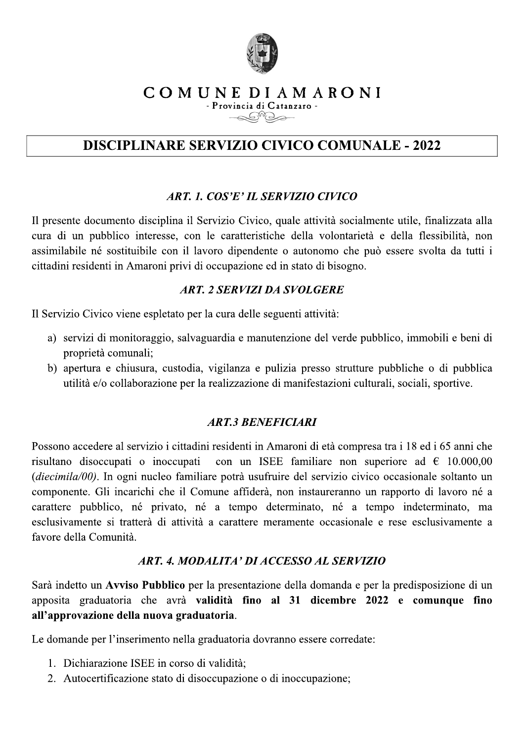

# COMUNE DIAMARONI

- Provincia di Catanzaro -

## **DISCIPLINARE SERVIZIO CIVICO COMUNALE - 2022**

#### ART. 1. COS'E' IL SERVIZIO CIVICO

Il presente documento disciplina il Servizio Civico, quale attività socialmente utile, finalizzata alla cura di un pubblico interesse, con le caratteristiche della volontarietà e della flessibilità, non assimilabile né sostituibile con il lavoro dipendente o autonomo che può essere svolta da tutti i cittadini residenti in Amaroni privi di occupazione ed in stato di bisogno.

#### **ART. 2 SERVIZI DA SVOLGERE**

Il Servizio Civico viene espletato per la cura delle seguenti attività:

- a) servizi di monitoraggio, salvaguardia e manutenzione del verde pubblico, immobili e beni di proprietà comunali;
- b) apertura e chiusura, custodia, vigilanza e pulizia presso strutture pubbliche o di pubblica utilità e/o collaborazione per la realizzazione di manifestazioni culturali, sociali, sportive.

### **ART.3 BENEFICIARI**

Possono accedere al servizio i cittadini residenti in Amaroni di età compresa tra i 18 ed i 65 anni che risultano disoccupati o inoccupati con un ISEE familiare non superiore ad  $\epsilon$  10.000,00 *(diecimila/00)*. In ogni nucleo familiare potrà usufruire del servizio civico occasionale soltanto un componente. Gli incarichi che il Comune affiderà, non instaureranno un rapporto di lavoro né a carattere pubblico, né privato, né a tempo determinato, né a tempo indeterminato, ma esclusivamente si tratterà di attività a carattere meramente occasionale e rese esclusivamente a favore della Comunità

#### ART. 4. MODALITA' DI ACCESSO AL SERVIZIO

Sarà indetto un Avviso Pubblico per la presentazione della domanda e per la predisposizione di un apposita graduatoria che avrà validità fino al 31 dicembre 2022 e comunque fino all'approvazione della nuova graduatoria.

Le domande per l'inserimento nella graduatoria dovranno essere corredate:

- 1. Dichiarazione ISEE in corso di validità;
- 2. Autocertificazione stato di disoccupazione o di inoccupazione;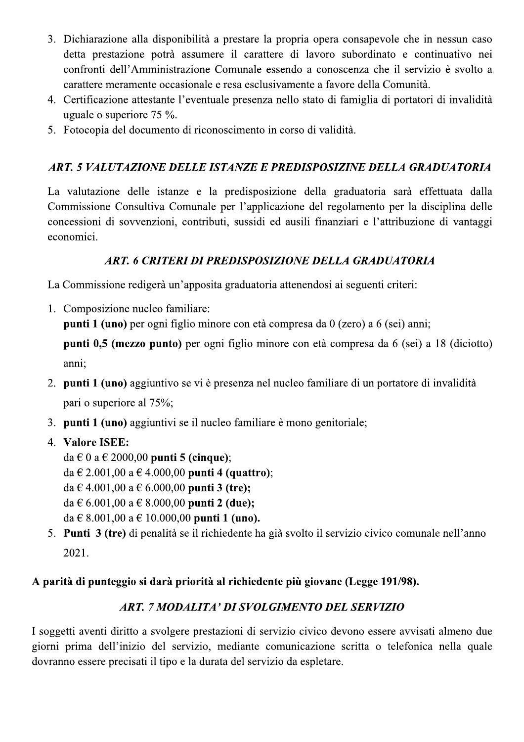- 3. Dichiarazione alla disponibilità a prestare la propria opera consapevole che in nessun caso detta prestazione potrà assumere il carattere di lavoro subordinato e continuativo nei confronti dell'Amministrazione Comunale essendo a conoscenza che il servizio è svolto a carattere meramente occasionale e resa esclusivamente a favore della Comunità.
- 4. Certificazione attestante l'eventuale presenza nello stato di famiglia di portatori di invalidità uguale o superiore  $75\%$ .
- 5. Fotocopia del documento di riconoscimento in corso di validità.

### ART. 5 VALUTAZIONE DELLE ISTANZE E PREDISPOSIZINE DELLA GRADUATORIA

La valutazione delle istanze e la predisposizione della graduatoria sarà effettuata dalla Commissione Consultiva Comunale per l'applicazione del regolamento per la disciplina delle concessioni di sovvenzioni, contributi, sussidi ed ausili finanziari e l'attribuzione di vantaggi economici.

### ART. 6 CRITERI DI PREDISPOSIZIONE DELLA GRADUATORIA

La Commissione redigerà un'apposita graduatoria attenendosi ai seguenti criteri:

1. Composizione nucleo familiare:

**punti 1 (uno)** per ogni figlio minore con età compresa da 0 (zero) a 6 (sei) anni;

**punti 0,5 (mezzo punto)** per ogni figlio minore con età compresa da 6 (sei) a 18 (diciotto) anni:

- 2. punti 1 (uno) aggiuntivo se vi è presenza nel nucleo familiare di un portatore di invalidità pari o superiore al 75%;
- 3. punti 1 (uno) aggiuntivi se il nucleo familiare è mono genitoriale;
- 4. Valore ISEE:

da  $\in$  0 a  $\in$  2000,00 punti 5 (cinque); da  $\in$  2.001,00 a  $\in$  4.000,00 punti 4 (quattro); da  $\in$  4.001,00 a  $\in$  6.000,00 punti 3 (tre); da  $\in$  6.001,00 a  $\in$  8.000,00 punti 2 (due); da  $\in$  8.001,00 a  $\in$  10.000,00 punti 1 (uno).

5. Punti 3 (tre) di penalità se il richiedente ha già svolto il servizio civico comunale nell'anno 2021.

### A parità di punteggio si darà priorità al richiedente più giovane (Legge 191/98).

### ART. 7 MODALITA' DI SVOLGIMENTO DEL SERVIZIO

I soggetti aventi diritto a svolgere prestazioni di servizio civico devono essere avvisati almeno due giorni prima dell'inizio del servizio, mediante comunicazione scritta o telefonica nella quale dovranno essere precisati il tipo e la durata del servizio da espletare.